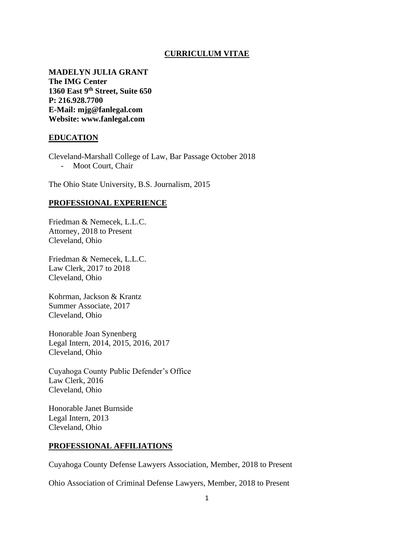### **CURRICULUM VITAE**

**MADELYN JULIA GRANT The IMG Center 1360 East 9th Street, Suite 650 P: 216.928.7700 E-Mail: mjg@fanlegal.com Website: www.fanlegal.com**

### **EDUCATION**

Cleveland-Marshall College of Law, Bar Passage October 2018 - Moot Court, Chair

The Ohio State University, B.S. Journalism, 2015

#### **PROFESSIONAL EXPERIENCE**

Friedman & Nemecek, L.L.C. Attorney, 2018 to Present Cleveland, Ohio

Friedman & Nemecek, L.L.C. Law Clerk, 2017 to 2018 Cleveland, Ohio

Kohrman, Jackson & Krantz Summer Associate, 2017 Cleveland, Ohio

Honorable Joan Synenberg Legal Intern, 2014, 2015, 2016, 2017 Cleveland, Ohio

Cuyahoga County Public Defender's Office Law Clerk, 2016 Cleveland, Ohio

Honorable Janet Burnside Legal Intern, 2013 Cleveland, Ohio

### **PROFESSIONAL AFFILIATIONS**

Cuyahoga County Defense Lawyers Association, Member, 2018 to Present

Ohio Association of Criminal Defense Lawyers, Member, 2018 to Present